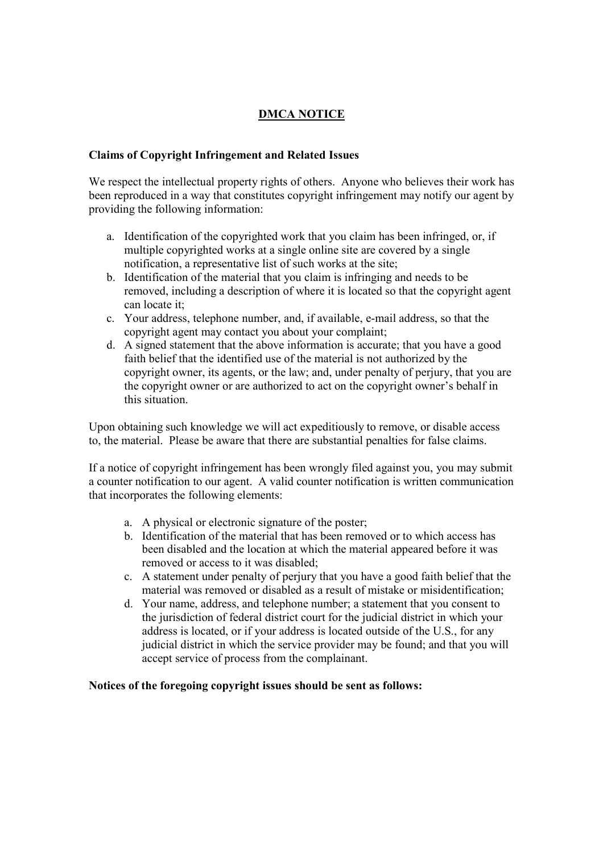## **DMCA NOTICE**

## **Claims of Copyright Infringement and Related Issues**

We respect the intellectual property rights of others. Anyone who believes their work has been reproduced in a way that constitutes copyright infringement may notify our agent by providing the following information:

- a. Identification of the copyrighted work that you claim has been infringed, or, if multiple copyrighted works at a single online site are covered by a single notification, a representative list of such works at the site;
- b. Identification of the material that you claim is infringing and needs to be removed, including a description of where it is located so that the copyright agent can locate it;
- c. Your address, telephone number, and, if available, e-mail address, so that the copyright agent may contact you about your complaint;
- d. A signed statement that the above information is accurate; that you have a good faith belief that the identified use of the material is not authorized by the copyright owner, its agents, or the law; and, under penalty of perjury, that you are the copyright owner or are authorized to act on the copyright owner's behalf in this situation.

Upon obtaining such knowledge we will act expeditiously to remove, or disable access to, the material. Please be aware that there are substantial penalties for false claims.

If a notice of copyright infringement has been wrongly filed against you, you may submit a counter notification to our agent. A valid counter notification is written communication that incorporates the following elements:

- a. A physical or electronic signature of the poster;
- b. Identification of the material that has been removed or to which access has been disabled and the location at which the material appeared before it was removed or access to it was disabled;
- c. A statement under penalty of perjury that you have a good faith belief that the material was removed or disabled as a result of mistake or misidentification;
- d. Your name, address, and telephone number; a statement that you consent to the jurisdiction of federal district court for the judicial district in which your address is located, or if your address is located outside of the U.S., for any judicial district in which the service provider may be found; and that you will accept service of process from the complainant.

**Notices of the foregoing copyright issues should be sent as follows:**